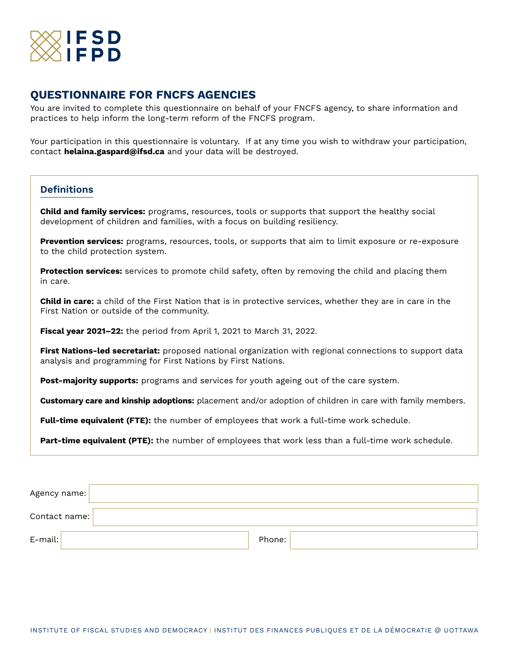

# **QUESTIONNAIRE FOR FNCFS AGENCIES**

You are invited to complete this questionnaire on behalf of your FNCFS agency, to share information and practices to help inform the long-term reform of the FNCFS program.

Your participation in this questionnaire is voluntary. If at any time you wish to withdraw your participation, contact **helaina.gaspard@ifsd.ca** and your data will be destroyed.

### **Definitions**

**Child and family services:** programs, resources, tools or supports that support the healthy social development of children and families, with a focus on building resiliency.

**Prevention services:** programs, resources, tools, or supports that aim to limit exposure or re-exposure to the child protection system.

**Protection services:** services to promote child safety, often by removing the child and placing them in care.

**Child in care:** a child of the First Nation that is in protective services, whether they are in care in the First Nation or outside of the community.

**Fiscal year 2021–22:** the period from April 1, 2021 to March 31, 2022.

**First Nations-led secretariat:** proposed national organization with regional connections to support data analysis and programming for First Nations by First Nations.

**Post-majority supports:** programs and services for youth ageing out of the care system.

**Customary care and kinship adoptions:** placement and/or adoption of children in care with family members.

**Full-time equivalent (FTE):** the number of employees that work a full-time work schedule.

**Part-time equivalent (PTE):** the number of employees that work less than a full-time work schedule.

| Agency name:  |        |
|---------------|--------|
| Contact name: |        |
| $E$ -mail:    | Phone: |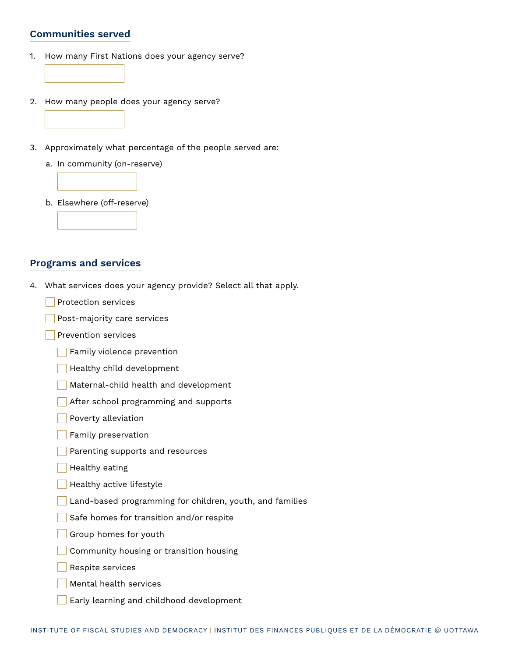#### **Communities served**

- 1. How many First Nations does your agency serve?
- 2. How many people does your agency serve?
- 3. Approximately what percentage of the people served are:
	- a. In community (on-reserve)



- **Programs and services**
- 4. What services does your agency provide? Select all that apply.
	- **Protection services**
	- Post-majority care services
	- **Prevention services** 
		- Family violence prevention
		- **Healthy child development**
		- Maternal-child health and development
		- After school programming and supports
		- **Poverty alleviation**
		- **Family preservation**
		- Parenting supports and resources
		- Healthy eating
		- **Healthy active lifestyle**
		- Land-based programming for children, youth, and families
		- Safe homes for transition and/or respite
		- Group homes for youth
		- Community housing or transition housing
		- Respite services
		- **Mental health services**
		- Early learning and childhood development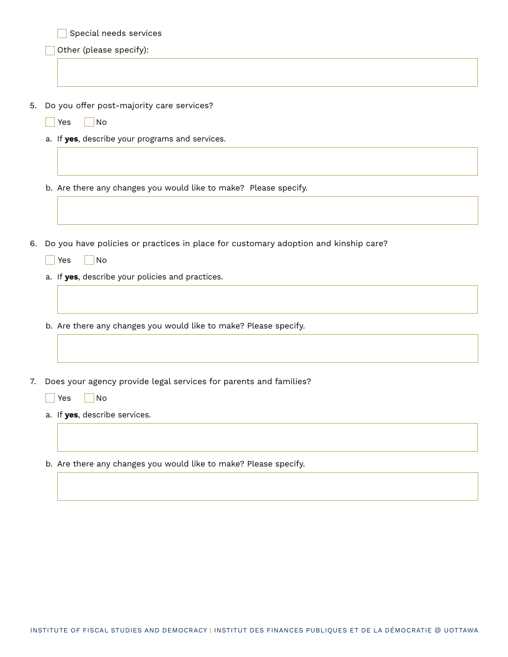|    | Special needs services                                                                 |
|----|----------------------------------------------------------------------------------------|
|    | Other (please specify):                                                                |
|    |                                                                                        |
|    |                                                                                        |
|    | 5. Do you offer post-majority care services?                                           |
|    | No<br>Yes                                                                              |
|    | a. If yes, describe your programs and services.                                        |
|    |                                                                                        |
|    |                                                                                        |
|    | b. Are there any changes you would like to make? Please specify.                       |
|    |                                                                                        |
|    |                                                                                        |
|    | 6. Do you have policies or practices in place for customary adoption and kinship care? |
|    | No<br>Yes                                                                              |
|    | a. If yes, describe your policies and practices.                                       |
|    |                                                                                        |
|    |                                                                                        |
|    | b. Are there any changes you would like to make? Please specify.                       |
|    |                                                                                        |
|    |                                                                                        |
| 7. | Does your agency provide legal services for parents and families?                      |
|    | Yes<br>No                                                                              |
|    | a. If yes, describe services.                                                          |
|    |                                                                                        |
|    |                                                                                        |

b. Are there any changes you would like to make? Please specify.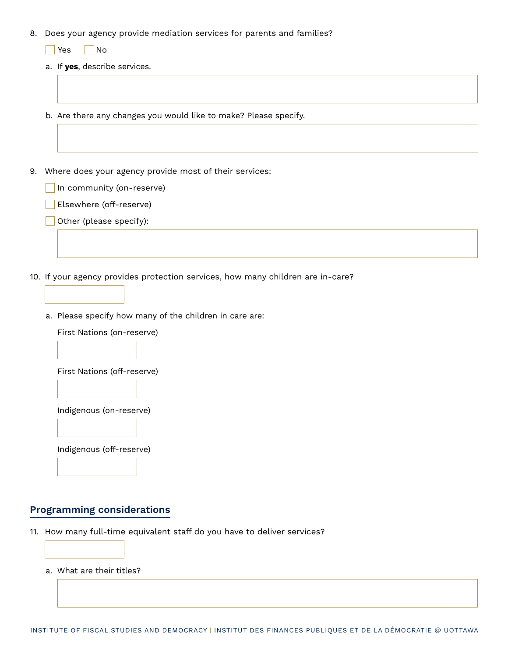- 8. Does your agency provide mediation services for parents and families?
	- $\Box$  Yes  $\Box$  No
	- a. If **yes**, describe services.
	- b. Are there any changes you would like to make? Please specify.
- 9. Where does your agency provide most of their services:
	- In community (on-reserve)
		- Elsewhere (off-reserve)
		- Other (please specify):
- 10. If your agency provides protection services, how many children are in-care?
	- a. Please specify how many of the children in care are:

First Nations (on-reserve)

First Nations (off-reserve)

Indigenous (on-reserve)

Indigenous (off-reserve)

#### **Programming considerations**

- 11. How many full-time equivalent staff do you have to deliver services?
	- a. What are their titles?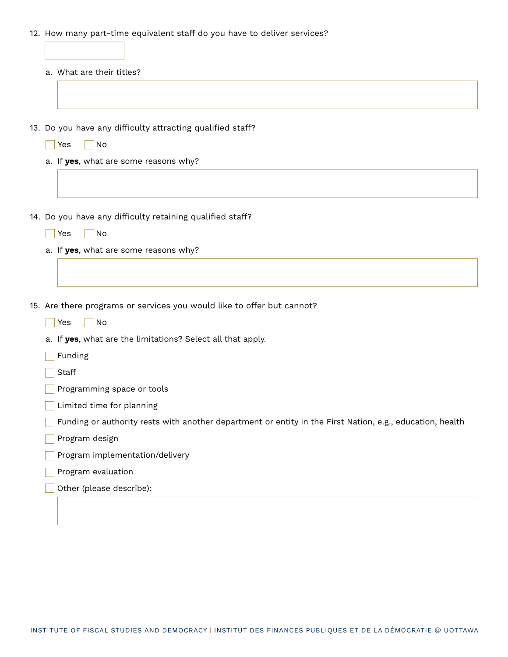12. How many part-time equivalent staff do you have to deliver services?

| a. What are their titles?                                                                                                                    |
|----------------------------------------------------------------------------------------------------------------------------------------------|
|                                                                                                                                              |
|                                                                                                                                              |
| 13. Do you have any difficulty attracting qualified staff?                                                                                   |
| No<br>Yes                                                                                                                                    |
| a. If yes, what are some reasons why?                                                                                                        |
|                                                                                                                                              |
| 14. Do you have any difficulty retaining qualified staff?                                                                                    |
| No<br>Yes                                                                                                                                    |
| a. If yes, what are some reasons why?                                                                                                        |
|                                                                                                                                              |
|                                                                                                                                              |
|                                                                                                                                              |
|                                                                                                                                              |
| 15. Are there programs or services you would like to offer but cannot?<br>No<br>Yes                                                          |
|                                                                                                                                              |
| a. If yes, what are the limitations? Select all that apply.<br>Funding                                                                       |
| Staff                                                                                                                                        |
| Programming space or tools                                                                                                                   |
| Limited time for planning                                                                                                                    |
|                                                                                                                                              |
| Program design                                                                                                                               |
| Funding or authority rests with another department or entity in the First Nation, e.g., education, health<br>Program implementation/delivery |
| Program evaluation                                                                                                                           |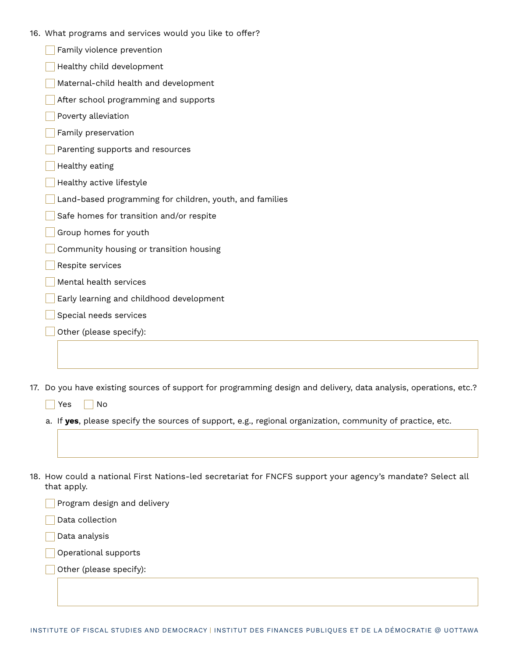|  | 16. What programs and services would you like to offer? |  |  |  |  |  |  |
|--|---------------------------------------------------------|--|--|--|--|--|--|
|--|---------------------------------------------------------|--|--|--|--|--|--|

| Family violence prevention |  |
|----------------------------|--|
|                            |  |

- **Healthy child development**
- Maternal-child health and development
- After school programming and supports
- Poverty alleviation
- Family preservation
- Parenting supports and resources
- Healthy eating
- **Healthy active lifestyle**
- Land-based programming for children, youth, and families
- Safe homes for transition and/or respite
- Group homes for youth
- Community housing or transition housing
- Respite services
- Mental health services
- Early learning and childhood development
- Special needs services
- Other (please specify):

17. Do you have existing sources of support for programming design and delivery, data analysis, operations, etc.?

 $Yes \tN$ o

a. If **yes**, please specify the sources of support, e.g., regional organization, community of practice, etc.

18. How could a national First Nations-led secretariat for FNCFS support your agency's mandate? Select all that apply.

Program design and delivery

Data collection

Data analysis

Operational supports

Other (please specify):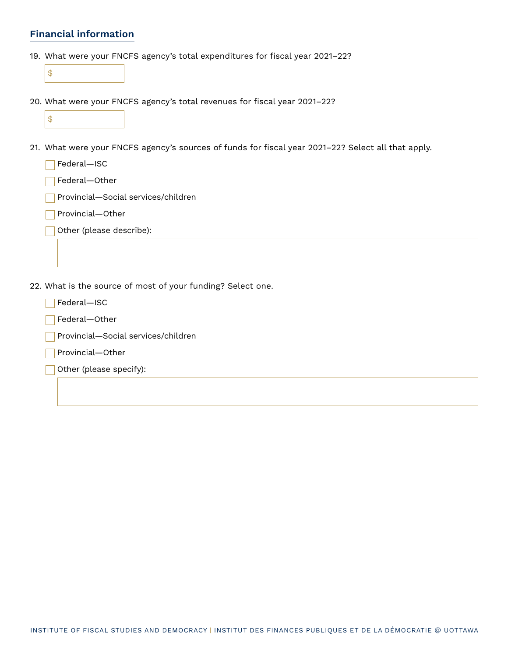## **Financial information**

- 19. What were your FNCFS agency's total expenditures for fiscal year 2021–22?
	- \$
- 20. What were your FNCFS agency's total revenues for fiscal year 2021–22?

- 21. What were your FNCFS agency's sources of funds for fiscal year 2021–22? Select all that apply.
	- **Federal**—ISC
	- Federal-Other
	- Provincial–Social services/children
	- Provincial-Other
	- Other (please describe):
- 22. What is the source of most of your funding? Select one.
	- **Federal**—ISC
	- Federal-Other
	- Provincial-Social services/children
	- Provincial—Other
	- Other (please specify):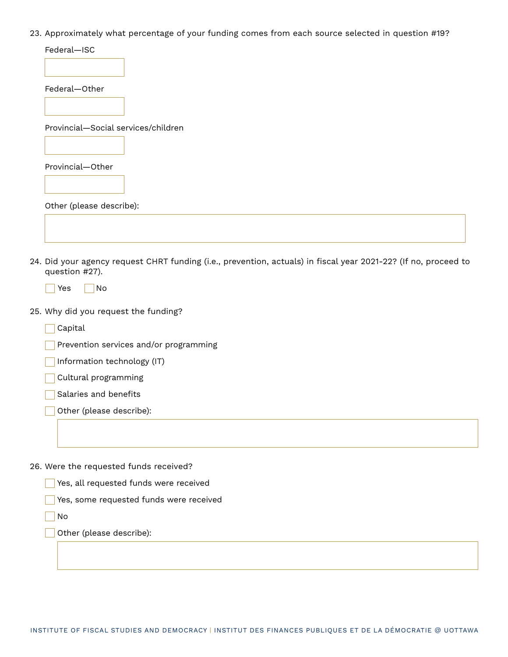23. Approximately what percentage of your funding comes from each source selected in question #19?

| Federal-ISC                         |
|-------------------------------------|
|                                     |
| Federal-Other                       |
|                                     |
| Provincial-Social services/children |
|                                     |
| Provincial-Other                    |
|                                     |
| Other (please describe):            |

- 24. Did your agency request CHRT funding (i.e., prevention, actuals) in fiscal year 2021-22? (If no, proceed to question #27).
	- $\sqrt{}$  Yes  $\sqrt{}$  No
- 25. Why did you request the funding?
	- Capital
	- Prevention services and/or programming
	- Information technology (IT)
	- **Cultural programming**
	- Salaries and benefits
	- Other (please describe):

26. Were the requested funds received?

- Yes, all requested funds were received
- Yes, some requested funds were received
- No

Other (please describe):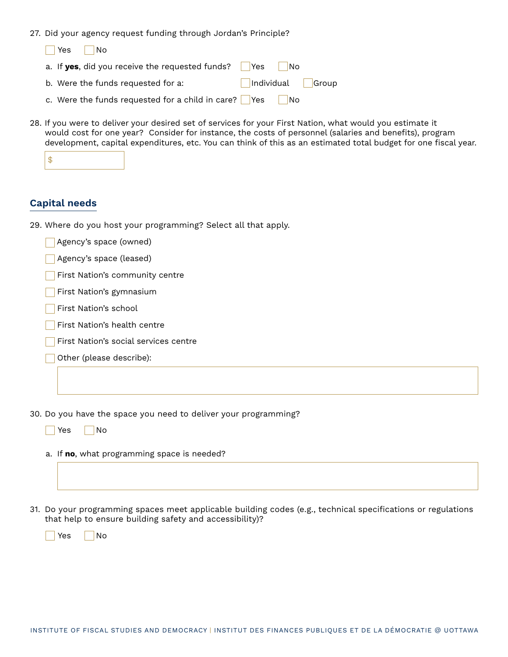27. Did your agency request funding through Jordan's Principle?

| l Yes<br>I No                                                       |
|---------------------------------------------------------------------|
| <b>No</b>                                                           |
| Individual   Group<br>b. Were the funds requested for a:            |
| c. Were the funds requested for a child in care?   Yes<br><b>No</b> |

28. If you were to deliver your desired set of services for your First Nation, what would you estimate it would cost for one year? Consider for instance, the costs of personnel (salaries and benefits), program development, capital expenditures, etc. You can think of this as an estimated total budget for one fiscal year.

|--|--|--|--|

### **Capital needs**

29. Where do you host your programming? Select all that apply.

| Agency's space (owned) |
|------------------------|
|------------------------|

- Agency's space (leased)
- First Nation's community centre
- First Nation's gymnasium
- First Nation's school
- First Nation's health centre
- First Nation's social services centre
- Other (please describe):

30. Do you have the space you need to deliver your programming?

| Yes. | No |
|------|----|
|------|----|

a. If **no**, what programming space is needed?

31. Do your programming spaces meet applicable building codes (e.g., technical specifications or regulations that help to ensure building safety and accessibility)?

Yes No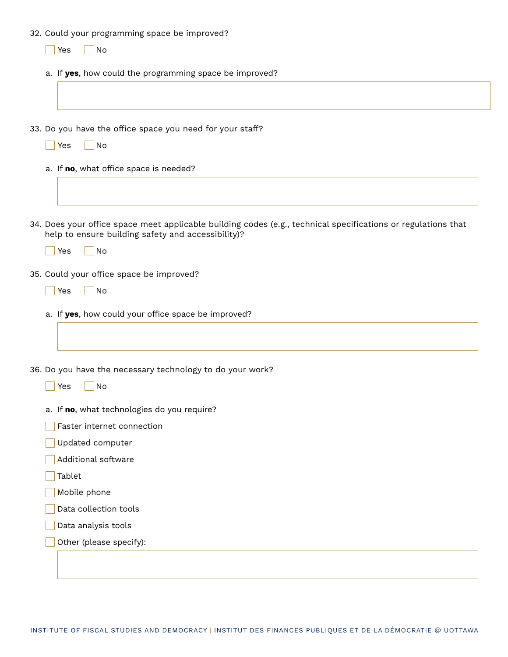32. Could your programming space be improved?

| No<br>Yes                                                                                                                                                           |
|---------------------------------------------------------------------------------------------------------------------------------------------------------------------|
| a. If yes, how could the programming space be improved?                                                                                                             |
|                                                                                                                                                                     |
|                                                                                                                                                                     |
| 33. Do you have the office space you need for your staff?                                                                                                           |
| Yes<br>No                                                                                                                                                           |
| a. If no, what office space is needed?                                                                                                                              |
|                                                                                                                                                                     |
|                                                                                                                                                                     |
| 34. Does your office space meet applicable building codes (e.g., technical specifications or regulations that<br>help to ensure building safety and accessibility)? |
| No<br>Yes                                                                                                                                                           |
| 35. Could your office space be improved?                                                                                                                            |
| No<br>Yes                                                                                                                                                           |
| a. If yes, how could your office space be improved?                                                                                                                 |
|                                                                                                                                                                     |
|                                                                                                                                                                     |
| 36. Do you have the necessary technology to do your work?                                                                                                           |
| No<br>Yes                                                                                                                                                           |
| a. If no, what technologies do you require?                                                                                                                         |
| Faster internet connection                                                                                                                                          |
| Updated computer                                                                                                                                                    |
| Additional software                                                                                                                                                 |
| Tablet                                                                                                                                                              |
| Mobile phone                                                                                                                                                        |
| Data collection tools                                                                                                                                               |
| Data analysis tools                                                                                                                                                 |
| Other (please specify):                                                                                                                                             |
|                                                                                                                                                                     |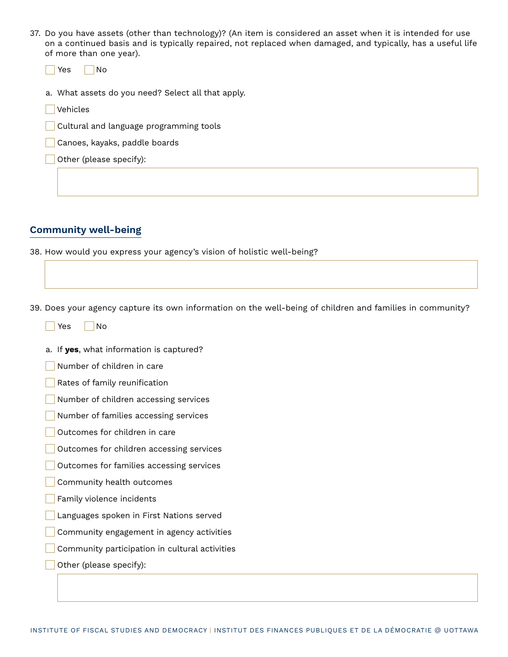37. Do you have assets (other than technology)? (An item is considered an asset when it is intended for use on a continued basis and is typically repaired, not replaced when damaged, and typically, has a useful life of more than one year).

|  |  | -<br>- 2 |  | N۱n |  |
|--|--|----------|--|-----|--|
|--|--|----------|--|-----|--|

- a. What assets do you need? Select all that apply.
- **Vehicles**
- Cultural and language programming tools
- Canoes, kayaks, paddle boards
- Other (please specify):

## **Community well-being**

38. How would you express your agency's vision of holistic well-being?

39. Does your agency capture its own information on the well-being of children and families in community?

- a. If **yes**, what information is captured?
- Number of children in care
- Rates of family reunification
- Number of children accessing services
- Number of families accessing services
- Outcomes for children in care
- Outcomes for children accessing services
- Outcomes for families accessing services
- Community health outcomes
- Family violence incidents
- Languages spoken in First Nations served
- Community engagement in agency activities
- Community participation in cultural activities
- Other (please specify):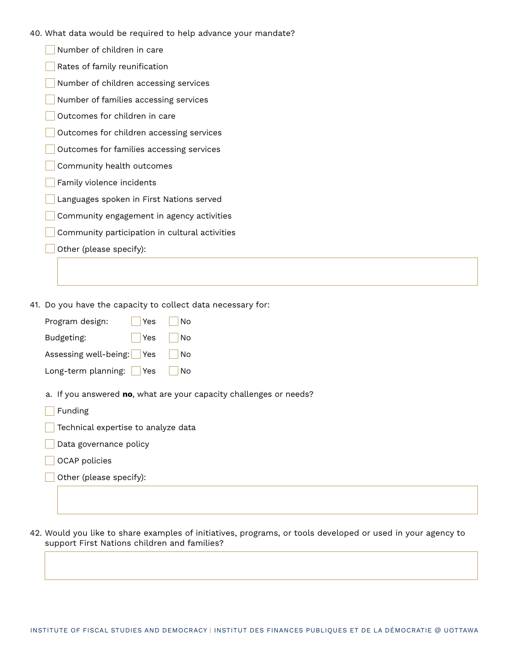- 40. What data would be required to help advance your mandate?
	- Number of children in care
	- Rates of family reunification
	- Number of children accessing services
	- Number of families accessing services
	- Outcomes for children in care
	- Outcomes for children accessing services
	- Outcomes for families accessing services
	- Community health outcomes
	- Family violence incidents
	- Languages spoken in First Nations served
	- **Community engagement in agency activities**
	- Community participation in cultural activities
	- Other (please specify):

41. Do you have the capacity to collect data necessary for:

| <b>Yes</b><br>Program design:                                                 | No |  |  |  |
|-------------------------------------------------------------------------------|----|--|--|--|
| Budgeting:<br>Yes                                                             | No |  |  |  |
| Assessing well-being:   Yes                                                   | No |  |  |  |
| Long-term planning: $ $ Yes                                                   | No |  |  |  |
| a. If you answered no, what are your capacity challenges or needs?<br>Funding |    |  |  |  |
| Technical expertise to analyze data                                           |    |  |  |  |
| Data governance policy                                                        |    |  |  |  |
|                                                                               |    |  |  |  |

- OCAP policies
- Other (please specify):

42. Would you like to share examples of initiatives, programs, or tools developed or used in your agency to support First Nations children and families?